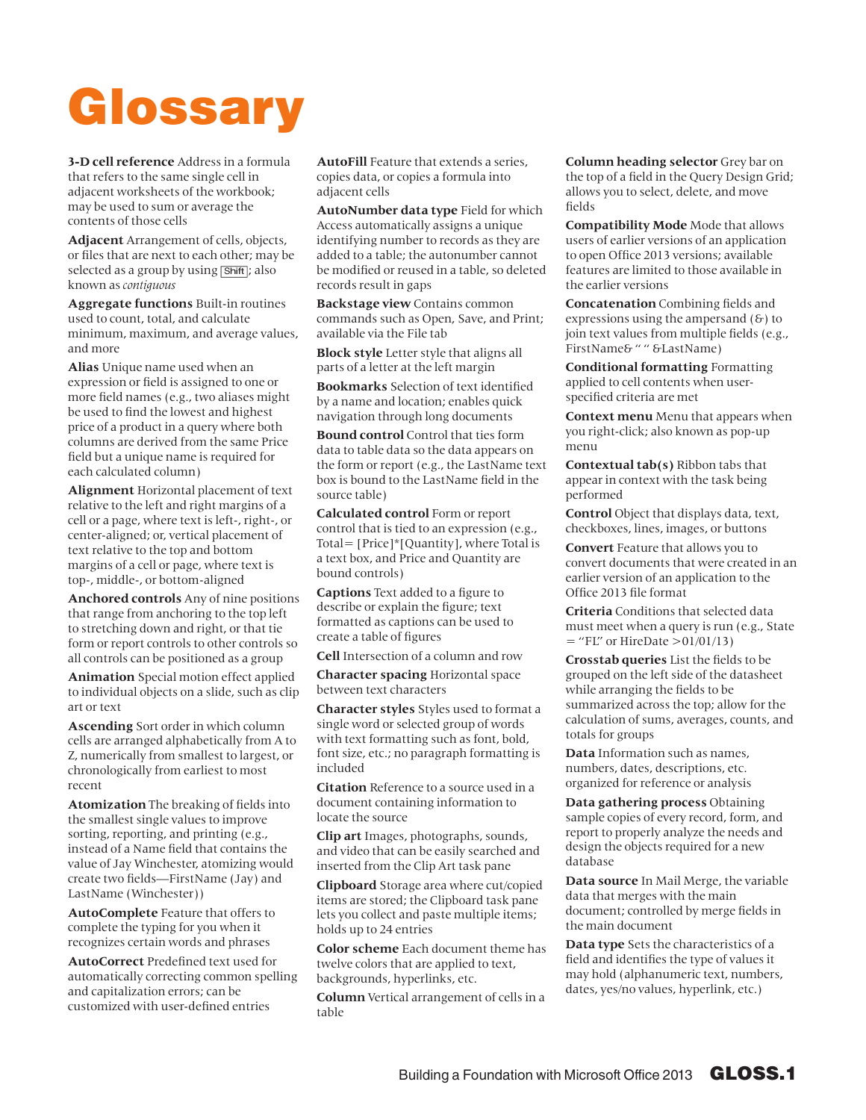## Glossary

**3-D cell reference** Address in a formula that refers to the same single cell in adjacent worksheets of the workbook; may be used to sum or average the contents of those cells

**Adjacent** Arrangement of cells, objects, or files that are next to each other; may be selected as a group by using [Shift]; also known as *contiguous*

**Aggregate functions** Built-in routines used to count, total, and calculate minimum, maximum, and average values, and more

**Alias** Unique name used when an expression or field is assigned to one or more field names (e.g., two aliases might be used to find the lowest and highest price of a product in a query where both columns are derived from the same Price field but a unique name is required for each calculated column)

**Alignment** Horizontal placement of text relative to the left and right margins of a cell or a page, where text is left-, right-, or center-aligned; or, vertical placement of text relative to the top and bottom margins of a cell or page, where text is top-, middle-, or bottom-aligned

**Anchored controls** Any of nine positions that range from anchoring to the top left to stretching down and right, or that tie form or report controls to other controls so all controls can be positioned as a group

**Animation** Special motion effect applied to individual objects on a slide, such as clip art or text

**Ascending** Sort order in which column cells are arranged alphabetically from A to Z, numerically from smallest to largest, or chronologically from earliest to most recent

**Atomization** The breaking of fields into the smallest single values to improve sorting, reporting, and printing (e.g., instead of a Name field that contains the value of Jay Winchester, atomizing would create two fields—FirstName (Jay) and LastName (Winchester))

**AutoComplete** Feature that offers to complete the typing for you when it recognizes certain words and phrases

**AutoCorrect** Predefined text used for automatically correcting common spelling and capitalization errors; can be customized with user-defined entries

**AutoFill** Feature that extends a series, copies data, or copies a formula into adjacent cells

**AutoNumber data type** Field for which Access automatically assigns a unique identifying number to records as they are added to a table; the autonumber cannot be modified or reused in a table, so deleted records result in gaps

**Backstage view** Contains common commands such as Open, Save, and Print; available via the File tab

**Block style** Letter style that aligns all parts of a letter at the left margin

**Bookmarks** Selection of text identified by a name and location; enables quick navigation through long documents

**Bound control** Control that ties form data to table data so the data appears on the form or report (e.g., the LastName text box is bound to the LastName field in the source table)

**Calculated control** Form or report control that is tied to an expression (e.g., Total= [Price]\*[Quantity], where Total is a text box, and Price and Quantity are bound controls)

**Captions** Text added to a figure to describe or explain the figure; text formatted as captions can be used to create a table of figures

**Cell** Intersection of a column and row

**Character spacing** Horizontal space between text characters

**Character styles** Styles used to format a single word or selected group of words with text formatting such as font, bold, font size, etc.; no paragraph formatting is included

**Citation** Reference to a source used in a document containing information to locate the source

**Clip art** Images, photographs, sounds, and video that can be easily searched and inserted from the Clip Art task pane

**Clipboard** Storage area where cut/copied items are stored; the Clipboard task pane lets you collect and paste multiple items; holds up to 24 entries

**Color scheme** Each document theme has twelve colors that are applied to text, backgrounds, hyperlinks, etc.

**Column** Vertical arrangement of cells in a table

**Column heading selector** Grey bar on the top of a field in the Query Design Grid; allows you to select, delete, and move fields

**Compatibility Mode** Mode that allows users of earlier versions of an application to open Office 2013 versions; available features are limited to those available in the earlier versions

**Concatenation** Combining fields and expressions using the ampersand  $(6)$  to join text values from multiple fields (e.g., FirstName& " " &LastName)

**Conditional formatting** Formatting applied to cell contents when userspecified criteria are met

**Context menu** Menu that appears when you right-click; also known as pop-up menu

**Contextual tab(s)** Ribbon tabs that appear in context with the task being performed

**Control** Object that displays data, text, checkboxes, lines, images, or buttons

**Convert** Feature that allows you to convert documents that were created in an earlier version of an application to the Office 2013 file format

**Criteria** Conditions that selected data must meet when a query is run (e.g., State  $=$  "FL" or HireDate >01/01/13)

**Crosstab queries** List the fields to be grouped on the left side of the datasheet while arranging the fields to be summarized across the top; allow for the calculation of sums, averages, counts, and totals for groups

**Data** Information such as names, numbers, dates, descriptions, etc. organized for reference or analysis

**Data gathering process** Obtaining sample copies of every record, form, and report to properly analyze the needs and design the objects required for a new database

**Data source** In Mail Merge, the variable data that merges with the main document; controlled by merge fields in the main document

**Data type** Sets the characteristics of a field and identifies the type of values it may hold (alphanumeric text, numbers, dates, yes/no values, hyperlink, etc.)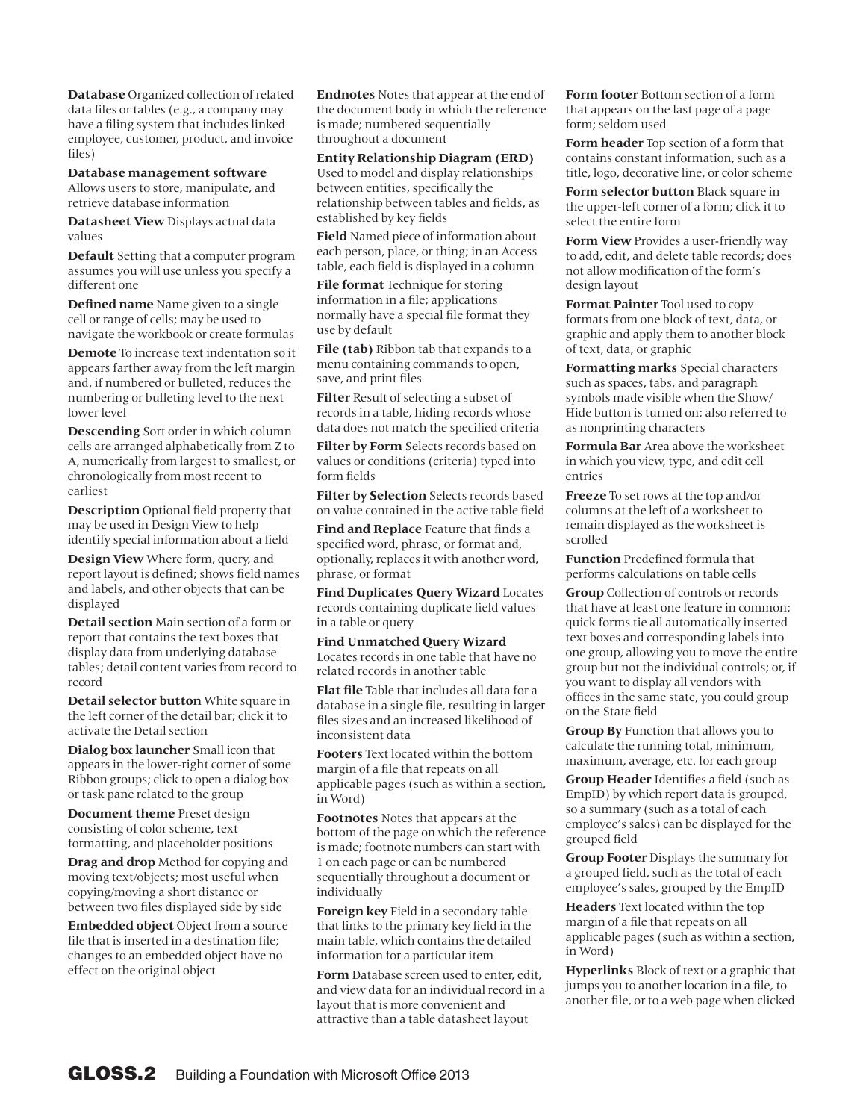**Database** Organized collection of related data files or tables (e.g., a company may have a filing system that includes linked employee, customer, product, and invoice files)

**Database management software** Allows users to store, manipulate, and retrieve database information

**Datasheet View** Displays actual data values

**Default** Setting that a computer program assumes you will use unless you specify a different one

**Defined name** Name given to a single cell or range of cells; may be used to navigate the workbook or create formulas

**Demote** To increase text indentation so it appears farther away from the left margin and, if numbered or bulleted, reduces the numbering or bulleting level to the next lower level

**Descending** Sort order in which column cells are arranged alphabetically from Z to A, numerically from largest to smallest, or chronologically from most recent to earliest

**Description** Optional field property that may be used in Design View to help identify special information about a field

**Design View** Where form, query, and report layout is defined; shows field names and labels, and other objects that can be displayed

**Detail section** Main section of a form or report that contains the text boxes that display data from underlying database tables; detail content varies from record to record

**Detail selector button** White square in the left corner of the detail bar; click it to activate the Detail section

**Dialog box launcher** Small icon that appears in the lower-right corner of some Ribbon groups; click to open a dialog box or task pane related to the group

**Document theme** Preset design consisting of color scheme, text formatting, and placeholder positions

**Drag and drop** Method for copying and moving text/objects; most useful when copying/moving a short distance or between two files displayed side by side

**Embedded object** Object from a source file that is inserted in a destination file; changes to an embedded object have no effect on the original object

**Endnotes** Notes that appear at the end of the document body in which the reference is made; numbered sequentially throughout a document

**Entity Relationship Diagram (ERD)** Used to model and display relationships between entities, specifically the relationship between tables and fields, as established by key fields

**Field** Named piece of information about each person, place, or thing; in an Access table, each field is displayed in a column

**File format** Technique for storing information in a file; applications normally have a special file format they use by default

**File (tab)** Ribbon tab that expands to a menu containing commands to open, save, and print files

**Filter** Result of selecting a subset of records in a table, hiding records whose data does not match the specified criteria

**Filter by Form** Selects records based on values or conditions (criteria) typed into form fields

**Filter by Selection** Selects records based on value contained in the active table field

**Find and Replace** Feature that finds a specified word, phrase, or format and, optionally, replaces it with another word, phrase, or format

**Find Duplicates Query Wizard** Locates records containing duplicate field values in a table or query

**Find Unmatched Query Wizard** Locates records in one table that have no related records in another table

**Flat file** Table that includes all data for a database in a single file, resulting in larger files sizes and an increased likelihood of inconsistent data

**Footers** Text located within the bottom margin of a file that repeats on all applicable pages (such as within a section, in Word)

**Footnotes** Notes that appears at the bottom of the page on which the reference is made; footnote numbers can start with 1 on each page or can be numbered sequentially throughout a document or individually

**Foreign key** Field in a secondary table that links to the primary key field in the main table, which contains the detailed information for a particular item

**Form** Database screen used to enter, edit, and view data for an individual record in a layout that is more convenient and attractive than a table datasheet layout

**Form footer** Bottom section of a form that appears on the last page of a page form; seldom used

**Form header** Top section of a form that contains constant information, such as a title, logo, decorative line, or color scheme

**Form selector button** Black square in the upper-left corner of a form; click it to select the entire form

**Form View** Provides a user-friendly way to add, edit, and delete table records; does not allow modification of the form's design layout

**Format Painter** Tool used to copy formats from one block of text, data, or graphic and apply them to another block of text, data, or graphic

**Formatting marks** Special characters such as spaces, tabs, and paragraph symbols made visible when the Show/ Hide button is turned on; also referred to as nonprinting characters

**Formula Bar** Area above the worksheet in which you view, type, and edit cell entries

**Freeze** To set rows at the top and/or columns at the left of a worksheet to remain displayed as the worksheet is scrolled

**Function** Predefined formula that performs calculations on table cells

**Group** Collection of controls or records that have at least one feature in common; quick forms tie all automatically inserted text boxes and corresponding labels into one group, allowing you to move the entire group but not the individual controls; or, if you want to display all vendors with offices in the same state, you could group on the State field

**Group By** Function that allows you to calculate the running total, minimum, maximum, average, etc. for each group

**Group Header** Identifies a field (such as EmpID) by which report data is grouped, so a summary (such as a total of each employee's sales) can be displayed for the grouped field

**Group Footer** Displays the summary for a grouped field, such as the total of each employee's sales, grouped by the EmpID

**Headers** Text located within the top margin of a file that repeats on all applicable pages (such as within a section, in Word)

**Hyperlinks** Block of text or a graphic that jumps you to another location in a file, to another file, or to a web page when clicked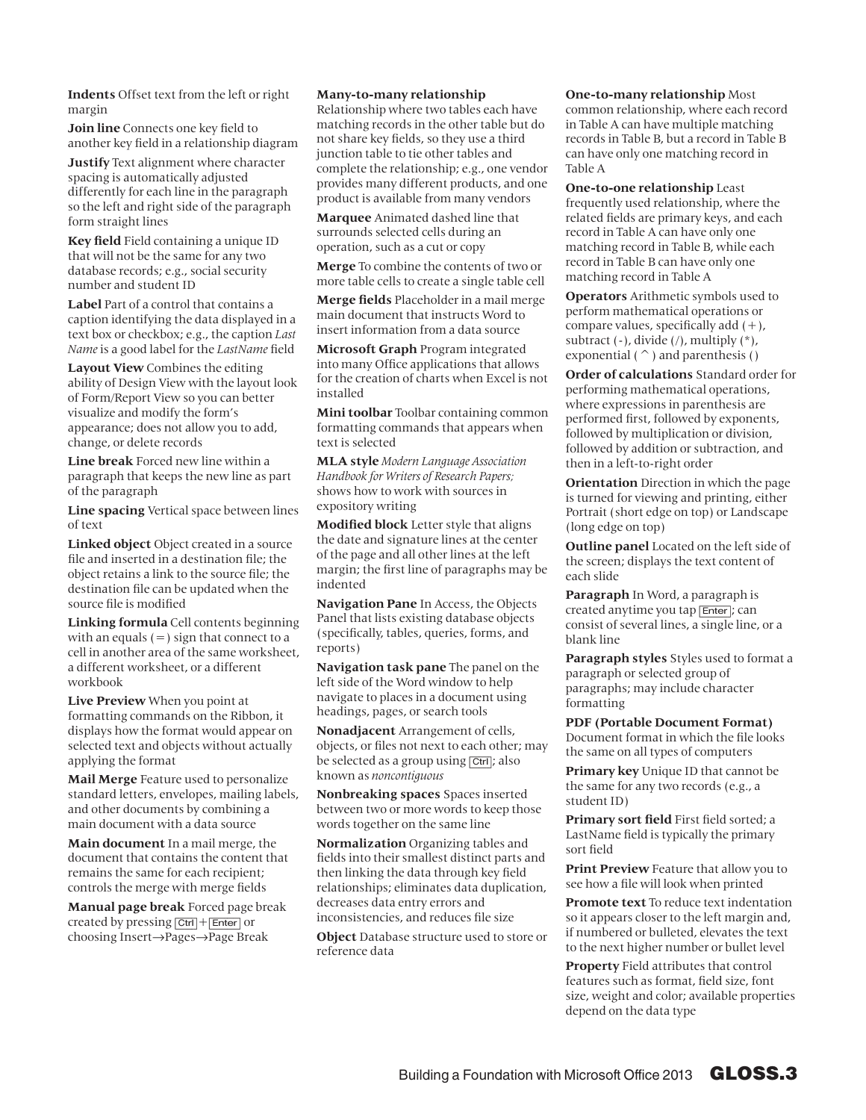**Indents** Offset text from the left or right margin

**Join line** Connects one key field to another key field in a relationship diagram

**Justify** Text alignment where character spacing is automatically adjusted differently for each line in the paragraph so the left and right side of the paragraph form straight lines

**Key field** Field containing a unique ID that will not be the same for any two database records; e.g., social security number and student ID

**Label** Part of a control that contains a caption identifying the data displayed in a text box or checkbox; e.g., the caption *Last Name* is a good label for the *LastName* field

**Layout View** Combines the editing ability of Design View with the layout look of Form/Report View so you can better visualize and modify the form's appearance; does not allow you to add, change, or delete records

**Line break** Forced new line within a paragraph that keeps the new line as part of the paragraph

**Line spacing** Vertical space between lines of text

**Linked object** Object created in a source file and inserted in a destination file; the object retains a link to the source file; the destination file can be updated when the source file is modified

**Linking formula** Cell contents beginning with an equals  $(=)$  sign that connect to a cell in another area of the same worksheet, a different worksheet, or a different workbook

**Live Preview** When you point at formatting commands on the Ribbon, it displays how the format would appear on selected text and objects without actually applying the format

**Mail Merge** Feature used to personalize standard letters, envelopes, mailing labels, and other documents by combining a main document with a data source

**Main document** In a mail merge, the document that contains the content that remains the same for each recipient; controls the merge with merge fields

**Manual page break** Forced page break created by pressing  $\boxed{\text{Ctrl}} + \boxed{\text{Enter}}$  or choosing Insert→Pages→Page Break

## **Many-to-many relationship**

Relationship where two tables each have matching records in the other table but do not share key fields, so they use a third junction table to tie other tables and complete the relationship; e.g., one vendor provides many different products, and one product is available from many vendors

**Marquee** Animated dashed line that surrounds selected cells during an operation, such as a cut or copy

**Merge** To combine the contents of two or more table cells to create a single table cell

**Merge fields** Placeholder in a mail merge main document that instructs Word to insert information from a data source

**Microsoft Graph** Program integrated into many Office applications that allows for the creation of charts when Excel is not installed

**Mini toolbar** Toolbar containing common formatting commands that appears when text is selected

**MLA style** *Modern Language Association Handbook for Writers of Research Papers;* shows how to work with sources in expository writing

**Modified block** Letter style that aligns the date and signature lines at the center of the page and all other lines at the left margin; the first line of paragraphs may be indented

**Navigation Pane** In Access, the Objects Panel that lists existing database objects (specifically, tables, queries, forms, and reports)

**Navigation task pane** The panel on the left side of the Word window to help navigate to places in a document using headings, pages, or search tools

**Nonadjacent** Arrangement of cells, objects, or files not next to each other; may be selected as a group using  $\boxed{\text{Ctrl}}$ ; also known as *noncontiguous*

**Nonbreaking spaces** Spaces inserted between two or more words to keep those words together on the same line

**Normalization** Organizing tables and fields into their smallest distinct parts and then linking the data through key field relationships; eliminates data duplication, decreases data entry errors and inconsistencies, and reduces file size

**Object** Database structure used to store or reference data

## **One-to-many relationship** Most common relationship, where each record in Table A can have multiple matching records in Table B, but a record in Table B can have only one matching record in Table A

**One-to-one relationship** Least frequently used relationship, where the related fields are primary keys, and each record in Table A can have only one matching record in Table B, while each record in Table B can have only one matching record in Table A

**Operators** Arithmetic symbols used to perform mathematical operations or compare values, specifically add  $(+)$ , subtract  $(-)$ , divide  $($ / $)$ , multiply  $(*$  $)$ , exponential ( $\hat{\ }$ ) and parenthesis ()

**Order of calculations** Standard order for performing mathematical operations, where expressions in parenthesis are performed first, followed by exponents, followed by multiplication or division, followed by addition or subtraction, and then in a left-to-right order

**Orientation** Direction in which the page is turned for viewing and printing, either Portrait (short edge on top) or Landscape (long edge on top)

**Outline panel** Located on the left side of the screen; displays the text content of each slide

**Paragraph** In Word, a paragraph is created anytime you tap [Enter]; can consist of several lines, a single line, or a blank line

**Paragraph styles** Styles used to format a paragraph or selected group of paragraphs; may include character formatting

**PDF (Portable Document Format)** Document format in which the file looks the same on all types of computers

**Primary key** Unique ID that cannot be the same for any two records (e.g., a student ID)

**Primary sort field** First field sorted; a LastName field is typically the primary sort field

**Print Preview** Feature that allow you to see how a file will look when printed

**Promote text** To reduce text indentation so it appears closer to the left margin and, if numbered or bulleted, elevates the text to the next higher number or bullet level

**Property** Field attributes that control features such as format, field size, font size, weight and color; available properties depend on the data type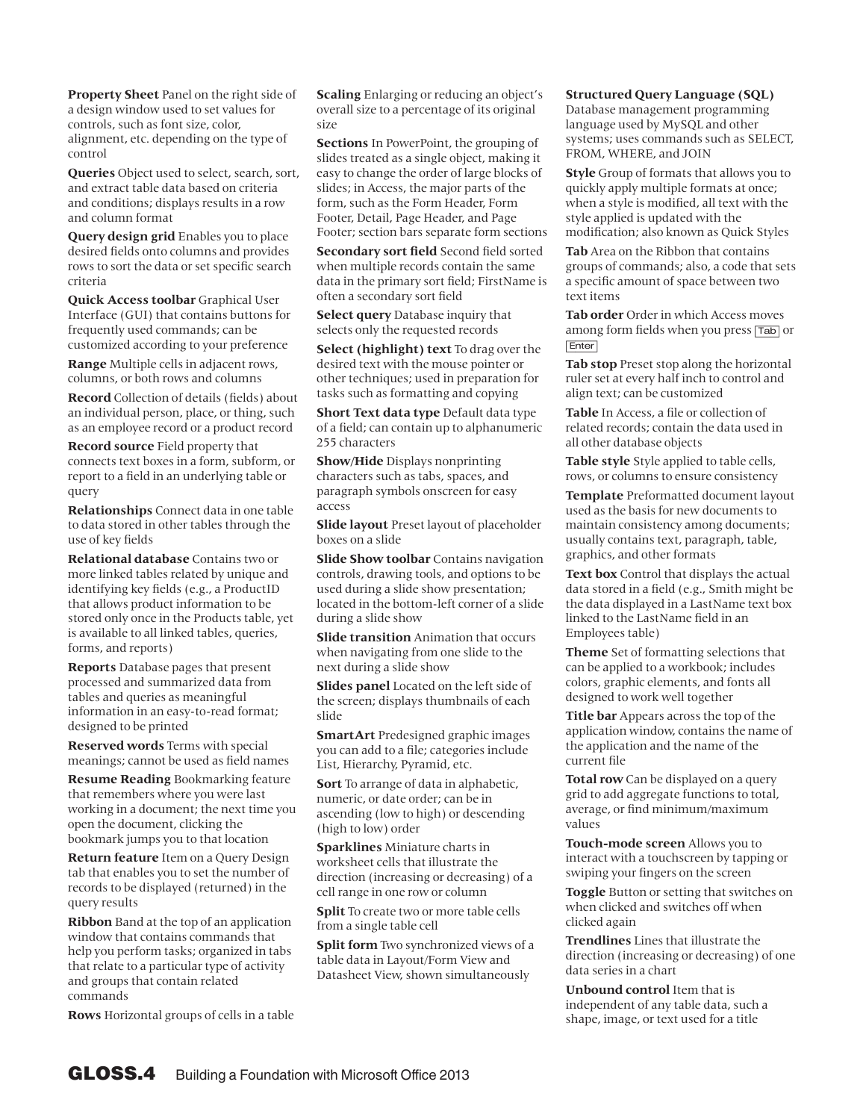**Property Sheet** Panel on the right side of a design window used to set values for controls, such as font size, color, alignment, etc. depending on the type of control

**Queries** Object used to select, search, sort, and extract table data based on criteria and conditions; displays results in a row and column format

**Query design grid** Enables you to place desired fields onto columns and provides rows to sort the data or set specific search criteria

**Quick Access toolbar** Graphical User Interface (GUI) that contains buttons for frequently used commands; can be customized according to your preference

**Range** Multiple cells in adjacent rows, columns, or both rows and columns

**Record** Collection of details (fields) about an individual person, place, or thing, such as an employee record or a product record

**Record source** Field property that connects text boxes in a form, subform, or report to a field in an underlying table or query

**Relationships** Connect data in one table to data stored in other tables through the use of key fields

**Relational database** Contains two or more linked tables related by unique and identifying key fields (e.g., a ProductID that allows product information to be stored only once in the Products table, yet is available to all linked tables, queries, forms, and reports)

**Reports** Database pages that present processed and summarized data from tables and queries as meaningful information in an easy-to-read format; designed to be printed

**Reserved words** Terms with special meanings; cannot be used as field names

**Resume Reading** Bookmarking feature that remembers where you were last working in a document; the next time you open the document, clicking the bookmark jumps you to that location

**Return feature** Item on a Query Design tab that enables you to set the number of records to be displayed (returned) in the query results

**Ribbon** Band at the top of an application window that contains commands that help you perform tasks; organized in tabs that relate to a particular type of activity and groups that contain related commands

**Rows** Horizontal groups of cells in a table

**Scaling** Enlarging or reducing an object's overall size to a percentage of its original size

**Sections** In PowerPoint, the grouping of slides treated as a single object, making it easy to change the order of large blocks of slides; in Access, the major parts of the form, such as the Form Header, Form Footer, Detail, Page Header, and Page Footer; section bars separate form sections

**Secondary sort field** Second field sorted when multiple records contain the same data in the primary sort field; FirstName is often a secondary sort field

**Select query** Database inquiry that selects only the requested records

**Select (highlight) text** To drag over the desired text with the mouse pointer or other techniques; used in preparation for tasks such as formatting and copying

**Short Text data type** Default data type of a field; can contain up to alphanumeric 255 characters

**Show/Hide** Displays nonprinting characters such as tabs, spaces, and paragraph symbols onscreen for easy access

**Slide layout** Preset layout of placeholder boxes on a slide

**Slide Show toolbar** Contains navigation controls, drawing tools, and options to be used during a slide show presentation; located in the bottom-left corner of a slide during a slide show

**Slide transition** Animation that occurs when navigating from one slide to the next during a slide show

**Slides panel** Located on the left side of the screen; displays thumbnails of each slide

**SmartArt** Predesigned graphic images you can add to a file; categories include List, Hierarchy, Pyramid, etc.

**Sort** To arrange of data in alphabetic, numeric, or date order; can be in ascending (low to high) or descending (high to low) order

**Sparklines** Miniature charts in worksheet cells that illustrate the direction (increasing or decreasing) of a cell range in one row or column

**Split** To create two or more table cells from a single table cell

**Split form** Two synchronized views of a table data in Layout/Form View and Datasheet View, shown simultaneously

## **Structured Query Language (SQL)**

Database management programming language used by MySQL and other systems; uses commands such as SELECT, FROM, WHERE, and JOIN

**Style** Group of formats that allows you to quickly apply multiple formats at once; when a style is modified, all text with the style applied is updated with the modification; also known as Quick Styles

**Tab** Area on the Ribbon that contains groups of commands; also, a code that sets a specific amount of space between two text items

**Tab order** Order in which Access moves among form fields when you press [Tab] or [Enter]

**Tab stop** Preset stop along the horizontal ruler set at every half inch to control and align text; can be customized

**Table** In Access, a file or collection of related records; contain the data used in all other database objects

**Table style** Style applied to table cells, rows, or columns to ensure consistency

**Template** Preformatted document layout used as the basis for new documents to maintain consistency among documents; usually contains text, paragraph, table, graphics, and other formats

**Text box** Control that displays the actual data stored in a field (e.g., Smith might be the data displayed in a LastName text box linked to the LastName field in an Employees table)

**Theme** Set of formatting selections that can be applied to a workbook; includes colors, graphic elements, and fonts all designed to work well together

**Title bar** Appears across the top of the application window, contains the name of the application and the name of the current file

**Total row** Can be displayed on a query grid to add aggregate functions to total, average, or find minimum/maximum values

**Touch-mode screen** Allows you to interact with a touchscreen by tapping or swiping your fingers on the screen

**Toggle** Button or setting that switches on when clicked and switches off when clicked again

**Trendlines** Lines that illustrate the direction (increasing or decreasing) of one data series in a chart

**Unbound control** Item that is independent of any table data, such a shape, image, or text used for a title